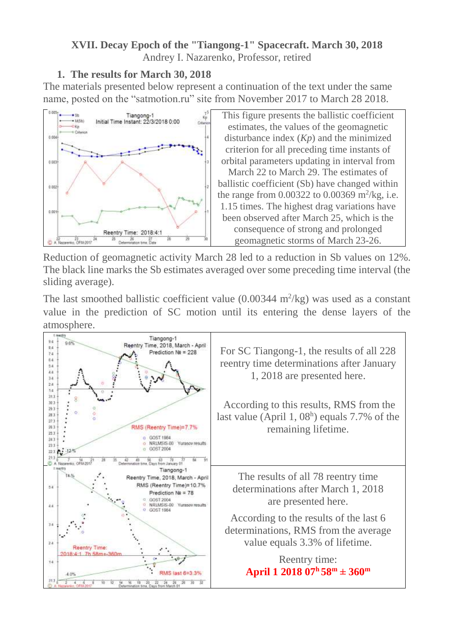### **XVII. Decay Epoch of the "Tiangong-1" Spacecraft. March 30, 2018** Andrey I. Nazarenko, Professor, retired

## **1. The results for March 30, 2018**

The materials presented below represent a continuation of the text under the same name, posted on the "satmotion.ru" site from November 2017 to March 28 2018.



This figure presents the ballistic coefficient estimates, the values of the geomagnetic disturbance index (*Kp*) and the minimized criterion for all preceding time instants of orbital parameters updating in interval from March 22 to March 29. The estimates of ballistic coefficient (Sb) have changed within the range from  $0.00322$  to  $0.00369$  m<sup>2</sup>/kg, i.e. 1.15 times. The highest drag variations have been observed after March 25, which is the consequence of strong and prolonged geomagnetic storms of March 23-26.

Reduction of geomagnetic activity March 28 led to a reduction in Sb values on 12%. The black line marks the Sb estimates averaged over some preceding time interval (the sliding average).

The last smoothed ballistic coefficient value  $(0.00344 \text{ m}^2/\text{kg})$  was used as a constant value in the prediction of SC motion until its entering the dense layers of the atmosphere.